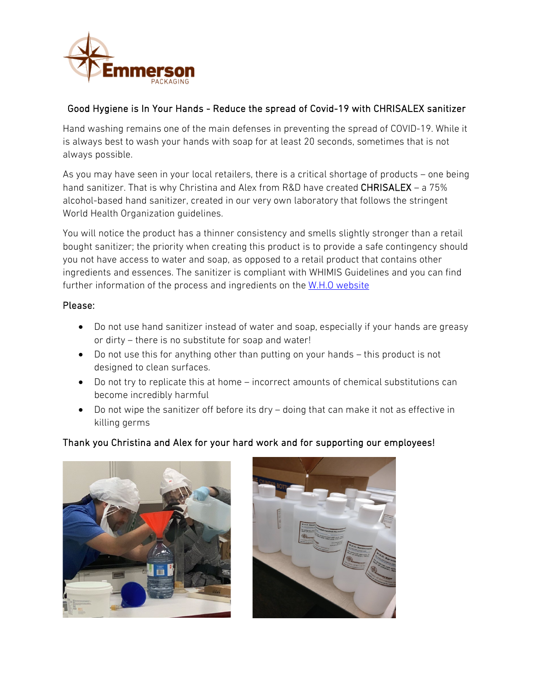

## Good Hygiene is In Your Hands - Reduce the spread of Covid-19 with CHRISALEX sanitizer

Hand washing remains one of the main defenses in preventing the spread of COVID-19. While it is always best to wash your hands with soap for at least 20 seconds, sometimes that is not always possible.

As you may have seen in your local retailers, there is a critical shortage of products – one being hand sanitizer. That is why Christina and Alex from R&D have created CHRISALEX - a 75% alcohol-based hand sanitizer, created in our very own laboratory that follows the stringent World Health Organization guidelines.

You will notice the product has a thinner consistency and smells slightly stronger than a retail bought sanitizer; the priority when creating this product is to provide a safe contingency should you not have access to water and soap, as opposed to a retail product that contains other ingredients and essences. The sanitizer is compliant with WHIMIS Guidelines and you can find further information of the process and ingredients on th[e W.H.O website](https://www.who.int/infection-prevention/tools/hand-hygiene/handrub-formulations/en/)

### Please:

- Do not use hand sanitizer instead of water and soap, especially if your hands are greasy or dirty – there is no substitute for soap and water!
- Do not use this for anything other than putting on your hands this product is not designed to clean surfaces.
- Do not try to replicate this at home incorrect amounts of chemical substitutions can become incredibly harmful
- Do not wipe the sanitizer off before its dry doing that can make it not as effective in killing germs

## Thank you Christina and Alex for your hard work and for supporting our employees!